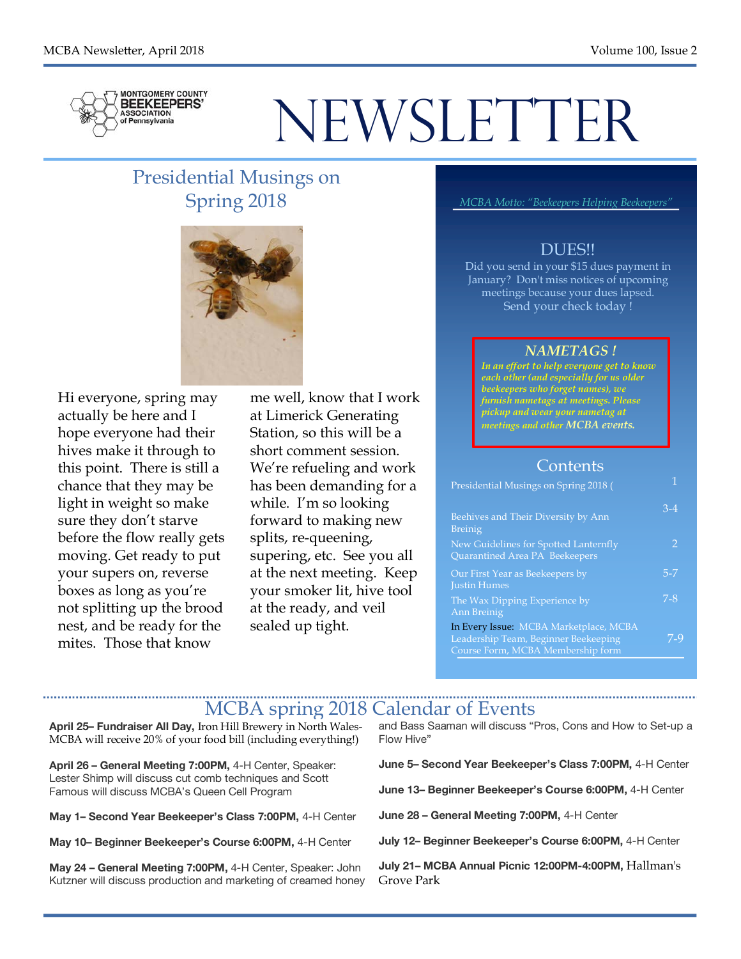

# NEWSLETTER

#### Presidential Musings on Spring 2018



Hi everyone, spring may actually be here and I hope everyone had their hives make it through to this point. There is still a chance that they may be light in weight so make sure they don't starve before the flow really gets moving. Get ready to put your supers on, reverse boxes as long as you're not splitting up the brood nest, and be ready for the mites. Those that know

me well, know that I work at Limerick Generating Station, so this will be a short comment session. We're refueling and work has been demanding for a while. I'm so looking forward to making new splits, re-queening, supering, etc. See you all at the next meeting. Keep your smoker lit, hive tool at the ready, and veil sealed up tight.

*MCBA Motto: "Beekeepers Helping Beekeepers"*

#### DUES!!

Did you send in your \$15 dues payment in January? Don't miss notices of upcoming meetings because your dues lapsed. Send your check today !

#### *NAMETAGS !*

*In an effort to help everyone get to know each other (and especially for us older beekeepers who forget names), we furnish nametags at meetings. Please pickup and wear your nametag at meetings and other MCBA events.*

#### **Contents**

| Presidential Musings on Spring 2018 (                                                                               |         |
|---------------------------------------------------------------------------------------------------------------------|---------|
| Beehives and Their Diversity by Ann<br><b>Breinig</b>                                                               | $3-4$   |
| New Guidelines for Spotted Lanternfly<br>Quarantined Area PA Beekeepers                                             | 2       |
| Our First Year as Beekeepers by<br><b>Justin Humes</b>                                                              | $5 - 7$ |
| The Wax Dipping Experience by<br>Ann Breinig                                                                        | $7 - 8$ |
| In Every Issue: MCBA Marketplace, MCBA<br>Leadership Team, Beginner Beekeeping<br>Course Form, MCBA Membership form | 7-9     |
|                                                                                                                     |         |

#### MCBA spring 2018 Calendar of Events

**April 25– Fundraiser All Day,** Iron Hill Brewery in North Wales-MCBA will receive 20% of your food bill (including everything!)

**April 26 – General Meeting 7:00PM,** 4-H Center, Speaker: Lester Shimp will discuss cut comb techniques and Scott Famous will discuss MCBA's Queen Cell Program

**May 1– Second Year Beekeeper's Class 7:00PM,** 4-H Center

**May 10– Beginner Beekeeper's Course 6:00PM,** 4-H Center

**May 24 – General Meeting 7:00PM,** 4-H Center, Speaker: John Kutzner will discuss production and marketing of creamed honey and Bass Saaman will discuss "Pros, Cons and How to Set-up a Flow Hive"

**June 5– Second Year Beekeeper's Class 7:00PM,** 4-H Center

**June 13– Beginner Beekeeper's Course 6:00PM,** 4-H Center

**June 28 – General Meeting 7:00PM,** 4-H Center

**July 12– Beginner Beekeeper's Course 6:00PM,** 4-H Center

**July 21– MCBA Annual Picnic 12:00PM-4:00PM,** Hallman's Grove Park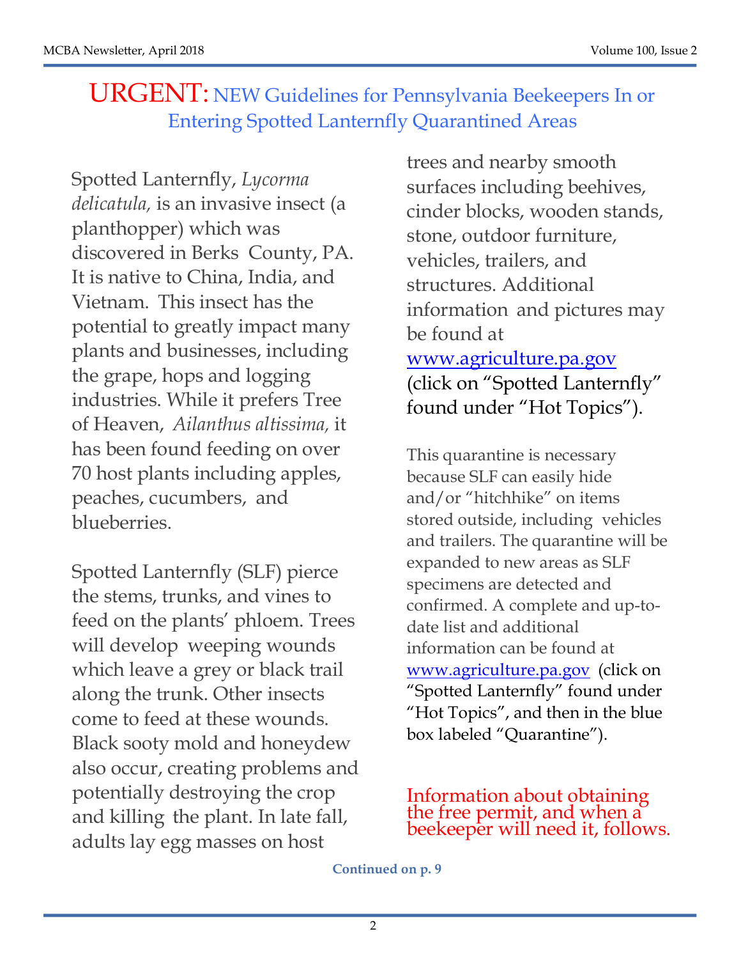## URGENT: NEW Guidelines for Pennsylvania Beekeepers In or Entering Spotted Lanternfly Quarantined Areas

Spotted Lanternfly, *Lycorma delicatula,* is an invasive insect (a planthopper) which was discovered in Berks County, PA. It is native to China, India, and Vietnam. This insect has the potential to greatly impact many plants and businesses, including the grape, hops and logging industries. While it prefers Tree of Heaven, *Ailanthus altissima,* it has been found feeding on over 70 host plants including apples, peaches, cucumbers, and blueberries.

Spotted Lanternfly (SLF) pierce the stems, trunks, and vines to feed on the plants' phloem. Trees will develop weeping wounds which leave a grey or black trail along the trunk. Other insects come to feed at these wounds. Black sooty mold and honeydew also occur, creating problems and potentially destroying the crop and killing the plant. In late fall, adults lay egg masses on host

trees and nearby smooth surfaces including beehives, cinder blocks, wooden stands, stone, outdoor furniture, vehicles, trailers, and structures. Additional information and pictures may be found at www.agriculture.pa.gov (click on "Spotted Lanternfly" found under "Hot Topics").

This quarantine is necessary because SLF can easily hide and/or "hitchhike" on items stored outside, including vehicles and trailers. The quarantine will be expanded to new areas as SLF specimens are detected and confirmed. A complete and up-todate list and additional information can be found at www.agriculture.pa.gov (click on "Spotted Lanternfly" found under "Hot Topics", and then in the blue box labeled "Quarantine").

Information about obtaining<br>the free permit, and when a beekeeper will need it, follows.

**Continued on p. 9**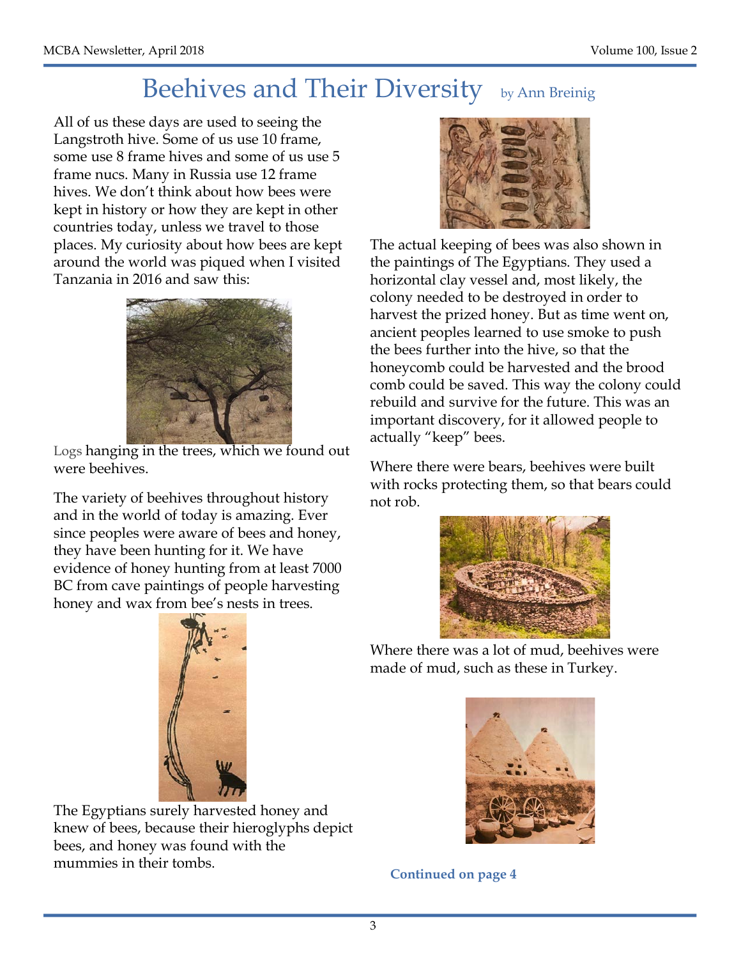## Beehives and Their Diversity by Ann Breinig

All of us these days are used to seeing the Langstroth hive. Some of us use 10 frame, some use 8 frame hives and some of us use 5 frame nucs. Many in Russia use 12 frame hives. We don't think about how bees were kept in history or how they are kept in other countries today, unless we travel to those places. My curiosity about how bees are kept around the world was piqued when I visited Tanzania in 2016 and saw this:



Logs hanging in the trees, which we found out were beehives.

The variety of beehives throughout history and in the world of today is amazing. Ever since peoples were aware of bees and honey, they have been hunting for it. We have evidence of honey hunting from at least 7000 BC from cave paintings of people harvesting honey and wax from bee's nests in trees.



The Egyptians surely harvested honey and knew of bees, because their hieroglyphs depict bees, and honey was found with the mummies in their tombs.



The actual keeping of bees was also shown in the paintings of The Egyptians. They used a horizontal clay vessel and, most likely, the colony needed to be destroyed in order to harvest the prized honey. But as time went on, ancient peoples learned to use smoke to push the bees further into the hive, so that the honeycomb could be harvested and the brood comb could be saved. This way the colony could rebuild and survive for the future. This was an important discovery, for it allowed people to actually "keep" bees.

Where there were bears, beehives were built with rocks protecting them, so that bears could not rob.



Where there was a lot of mud, beehives were made of mud, such as these in Turkey.



**Continued on page 4**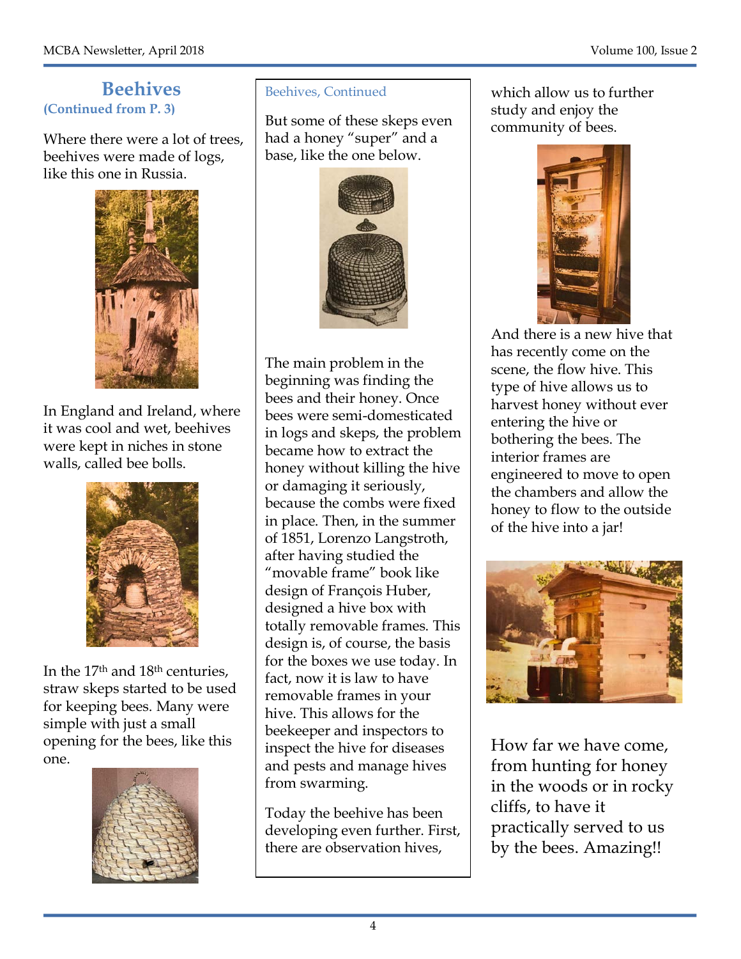#### **Beehives (Continued from P. 3)**

Where there were a lot of trees, beehives were made of logs, like this one in Russia.



In England and Ireland, where it was cool and wet, beehives were kept in niches in stone walls, called bee bolls.



In the 17th and 18th centuries, straw skeps started to be used for keeping bees. Many were simple with just a small opening for the bees, like this one.



#### Beehives, Continued

had a honey "super" and a But some of these skeps even base, like the one below.



The main problem in the beginning was finding the bees and their honey. Once bees were semi-domesticated in logs and skeps, the problem became how to extract the honey without killing the hive or damaging it seriously, because the combs were fixed in place. Then, in the summer of 1851, Lorenzo Langstroth, after having studied the "movable frame" book like design of François Huber, designed a hive box with totally removable frames. This design is, of course, the basis for the boxes we use today. In fact, now it is law to have removable frames in your hive. This allows for the beekeeper and inspectors to inspect the hive for diseases and pests and manage hives from swarming.

Today the beehive has been developing even further. First, there are observation hives,

which allow us to further study and enjoy the community of bees.



And there is a new hive that has recently come on the scene, the flow hive. This type of hive allows us to harvest honey without ever entering the hive or bothering the bees. The interior frames are engineered to move to open the chambers and allow the honey to flow to the outside of the hive into a jar!



How far we have come, from hunting for honey in the woods or in rocky cliffs, to have it practically served to us by the bees. Amazing!!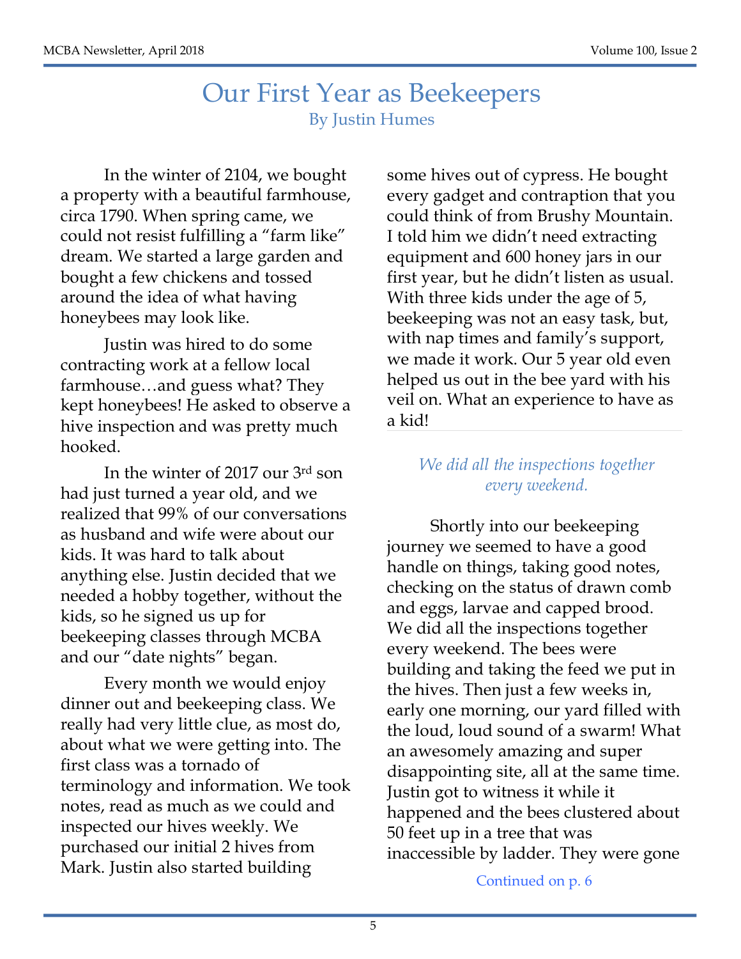#### Our First Year as Beekeepers By Justin Humes

In the winter of 2104, we bought a property with a beautiful farmhouse, circa 1790. When spring came, we could not resist fulfilling a "farm like" dream. We started a large garden and bought a few chickens and tossed around the idea of what having honeybees may look like.

Justin was hired to do some contracting work at a fellow local farmhouse…and guess what? They kept honeybees! He asked to observe a hive inspection and was pretty much hooked.

In the winter of 2017 our 3rd son had just turned a year old, and we realized that 99% of our conversations as husband and wife were about our kids. It was hard to talk about anything else. Justin decided that we needed a hobby together, without the kids, so he signed us up for beekeeping classes through MCBA and our "date nights" began.

Every month we would enjoy dinner out and beekeeping class. We really had very little clue, as most do, about what we were getting into. The first class was a tornado of terminology and information. We took notes, read as much as we could and inspected our hives weekly. We purchased our initial 2 hives from Mark. Justin also started building

some hives out of cypress. He bought every gadget and contraption that you could think of from Brushy Mountain. I told him we didn't need extracting equipment and 600 honey jars in our first year, but he didn't listen as usual. With three kids under the age of 5, beekeeping was not an easy task, but, with nap times and family's support, we made it work. Our 5 year old even helped us out in the bee yard with his veil on. What an experience to have as a kid!

#### *We did all the inspections together every weekend.*

Shortly into our beekeeping journey we seemed to have a good handle on things, taking good notes, checking on the status of drawn comb and eggs, larvae and capped brood. We did all the inspections together every weekend. The bees were building and taking the feed we put in the hives. Then just a few weeks in, early one morning, our yard filled with the loud, loud sound of a swarm! What an awesomely amazing and super disappointing site, all at the same time. Justin got to witness it while it happened and the bees clustered about 50 feet up in a tree that was inaccessible by ladder. They were gone

Continued on p. 6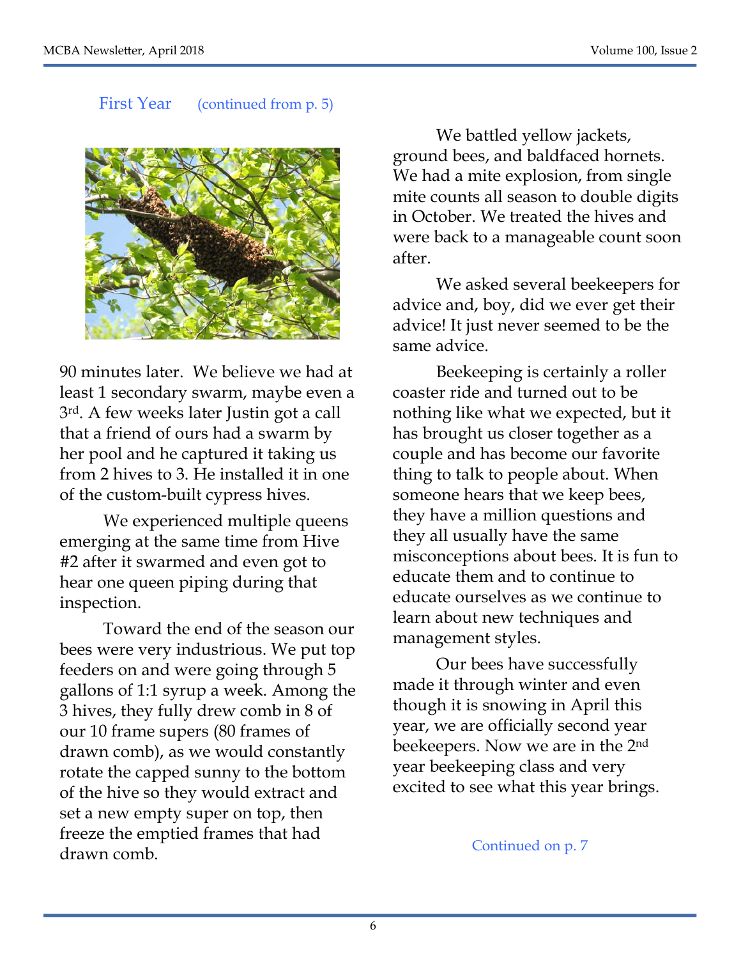#### First Year (continued from p. 5)



90 minutes later. We believe we had at least 1 secondary swarm, maybe even a 3rd. A few weeks later Justin got a call that a friend of ours had a swarm by her pool and he captured it taking us from 2 hives to 3. He installed it in one of the custom-built cypress hives.

We experienced multiple queens emerging at the same time from Hive #2 after it swarmed and even got to hear one queen piping during that inspection.

Toward the end of the season our bees were very industrious. We put top feeders on and were going through 5 gallons of 1:1 syrup a week. Among the 3 hives, they fully drew comb in 8 of our 10 frame supers (80 frames of drawn comb), as we would constantly rotate the capped sunny to the bottom of the hive so they would extract and set a new empty super on top, then freeze the emptied frames that had drawn comb.

We battled yellow jackets, ground bees, and baldfaced hornets. We had a mite explosion, from single mite counts all season to double digits in October. We treated the hives and were back to a manageable count soon after.

We asked several beekeepers for advice and, boy, did we ever get their advice! It just never seemed to be the same advice.

Beekeeping is certainly a roller coaster ride and turned out to be nothing like what we expected, but it has brought us closer together as a couple and has become our favorite thing to talk to people about. When someone hears that we keep bees, they have a million questions and they all usually have the same misconceptions about bees. It is fun to educate them and to continue to educate ourselves as we continue to learn about new techniques and management styles.

Our bees have successfully made it through winter and even though it is snowing in April this year, we are officially second year beekeepers. Now we are in the 2nd year beekeeping class and very excited to see what this year brings.

Continued on p. 7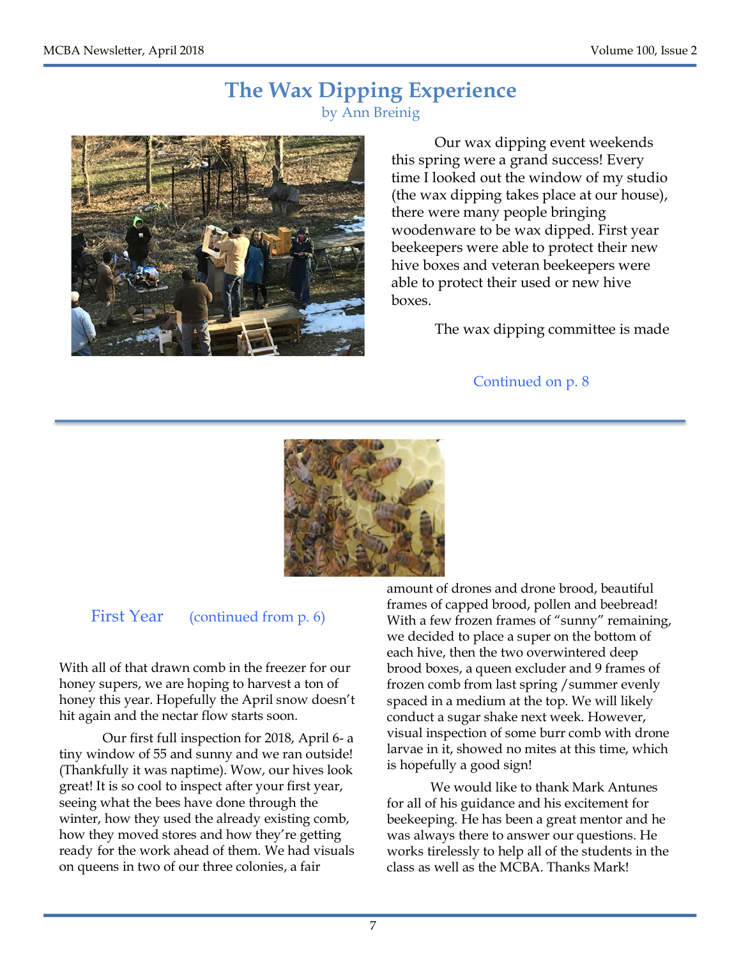#### **The Wax Dipping Experience** by Ann Breinig



Our wax dipping event weekends this spring were a grand success! Every time I looked out the window of my studio (the wax dipping takes place at our house), there were many people bringing woodenware to be wax dipped. First year beekeepers were able to protect their new hive boxes and veteran beekeepers were able to protect their used or new hive boxes.

The wax dipping committee is made

Continued on p. 8



#### First Year (continued from p. 6)

With all of that drawn comb in the freezer for our honey supers, we are hoping to harvest a ton of honey this year. Hopefully the April snow doesn't hit again and the nectar flow starts soon.

Our first full inspection for 2018, April 6- a tiny window of 55 and sunny and we ran outside! (Thankfully it was naptime). Wow, our hives look great! It is so cool to inspect after your first year, seeing what the bees have done through the winter, how they used the already existing comb, how they moved stores and how they're getting ready for the work ahead of them. We had visuals on queens in two of our three colonies, a fair

amount of drones and drone brood, beautiful frames of capped brood, pollen and beebread! With a few frozen frames of "sunny" remaining, we decided to place a super on the bottom of each hive, then the two overwintered deep brood boxes, a queen excluder and 9 frames of frozen comb from last spring /summer evenly spaced in a medium at the top. We will likely conduct a sugar shake next week. However, visual inspection of some burr comb with drone larvae in it, showed no mites at this time, which is hopefully a good sign!

We would like to thank Mark Antunes for all of his guidance and his excitement for beekeeping. He has been a great mentor and he was always there to answer our questions. He works tirelessly to help all of the students in the class as well as the MCBA. Thanks Mark!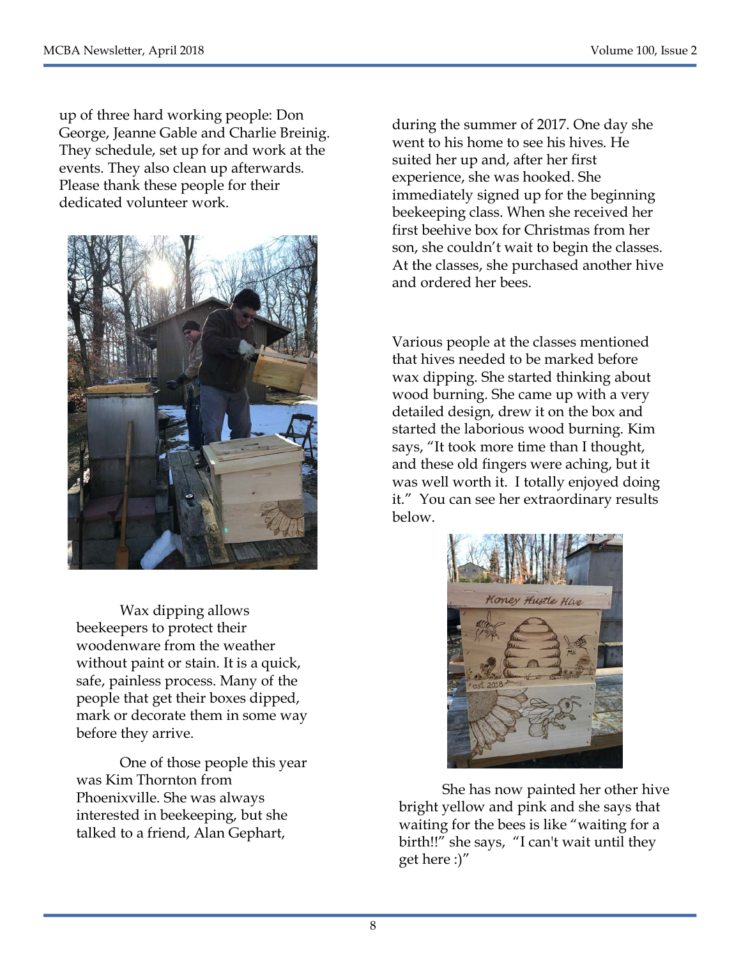up of three hard working people: Don George, Jeanne Gable and Charlie Breinig. They schedule, set up for and work at the events. They also clean up afterwards. Please thank these people for their dedicated volunteer work.



Wax dipping allows beekeepers to protect their woodenware from the weather without paint or stain. It is a quick, safe, painless process. Many of the people that get their boxes dipped, mark or decorate them in some way before they arrive.

One of those people this year was Kim Thornton from Phoenixville. She was always interested in beekeeping, but she talked to a friend, Alan Gephart,

during the summer of 2017. One day she went to his home to see his hives. He suited her up and, after her first experience, she was hooked. She immediately signed up for the beginning beekeeping class. When she received her first beehive box for Christmas from her son, she couldn't wait to begin the classes. At the classes, she purchased another hive and ordered her bees.

Various people at the classes mentioned that hives needed to be marked before wax dipping. She started thinking about wood burning. She came up with a very detailed design, drew it on the box and started the laborious wood burning. Kim says, "It took more time than I thought, and these old fingers were aching, but it was well worth it. I totally enjoyed doing it." You can see her extraordinary results below.



She has now painted her other hive bright yellow and pink and she says that waiting for the bees is like "waiting for a birth!!" she says, "I can't wait until they get here :)"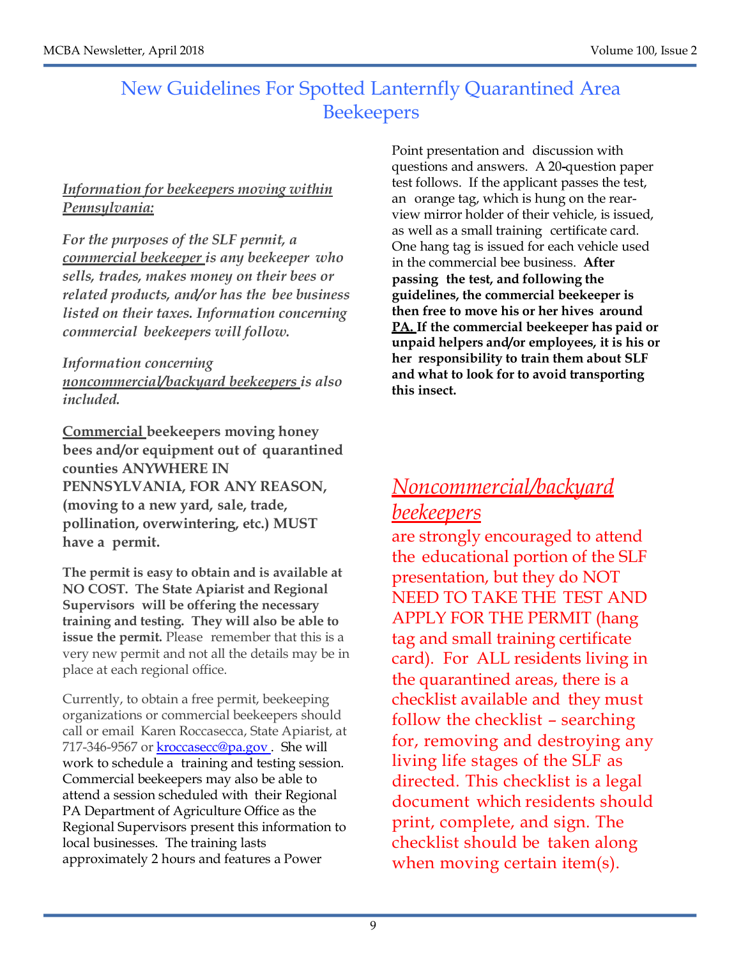#### New Guidelines For Spotted Lanternfly Quarantined Area **Beekeepers**

#### *Information for beekeepers moving within Pennsylvania:*

*For the purposes of the SLF permit, a commercial beekeeper is any beekeeper who sells, trades, makes money on their bees or related products, and/or has the bee business listed on their taxes. Information concerning commercial beekeepers will follow.*

*Information concerning noncommercial/backyard beekeepers is also included.*

**Commercial beekeepers moving honey bees and/or equipment out of quarantined counties ANYWHERE IN PENNSYLVANIA, FOR ANY REASON, (moving to a new yard, sale, trade, pollination, overwintering, etc.) MUST have a permit.**

**The permit is easy to obtain and is available at NO COST. The State Apiarist and Regional Supervisors will be offering the necessary training and testing. They will also be able to issue the permit.** Please remember that this is a very new permit and not all the details may be in place at each regional office.

Currently, to obtain a free permit, beekeeping organizations or commercial beekeepers should call or email Karen Roccasecca, State Apiarist, at 717-346-9567 or kroccasecc@pa.gov . She will work to schedule a training and testing session. Commercial beekeepers may also be able to attend a session scheduled with their Regional PA Department of Agriculture Office as the Regional Supervisors present this information to local businesses. The training lasts approximately 2 hours and features a Power

Point presentation and discussion with questions and answers. A 20**-**question paper test follows. If the applicant passes the test, an orange tag, which is hung on the rearview mirror holder of their vehicle, is issued, as well as a small training certificate card. One hang tag is issued for each vehicle used in the commercial bee business. **After passing the test, and following the guidelines, the commercial beekeeper is then free to move his or her hives around PA. If the commercial beekeeper has paid or unpaid helpers and/or employees, it is his or her responsibility to train them about SLF and what to look for to avoid transporting this insect.**

### *Noncommercial/backyard beekeepers*

are strongly encouraged to attend the educational portion of the SLF presentation, but they do NOT NEED TO TAKE THE TEST AND APPLY FOR THE PERMIT (hang tag and small training certificate card). For ALL residents living in the quarantined areas, there is a checklist available and they must follow the checklist – searching for, removing and destroying any living life stages of the SLF as directed. This checklist is a legal document which residents should print, complete, and sign. The checklist should be taken along when moving certain item(s).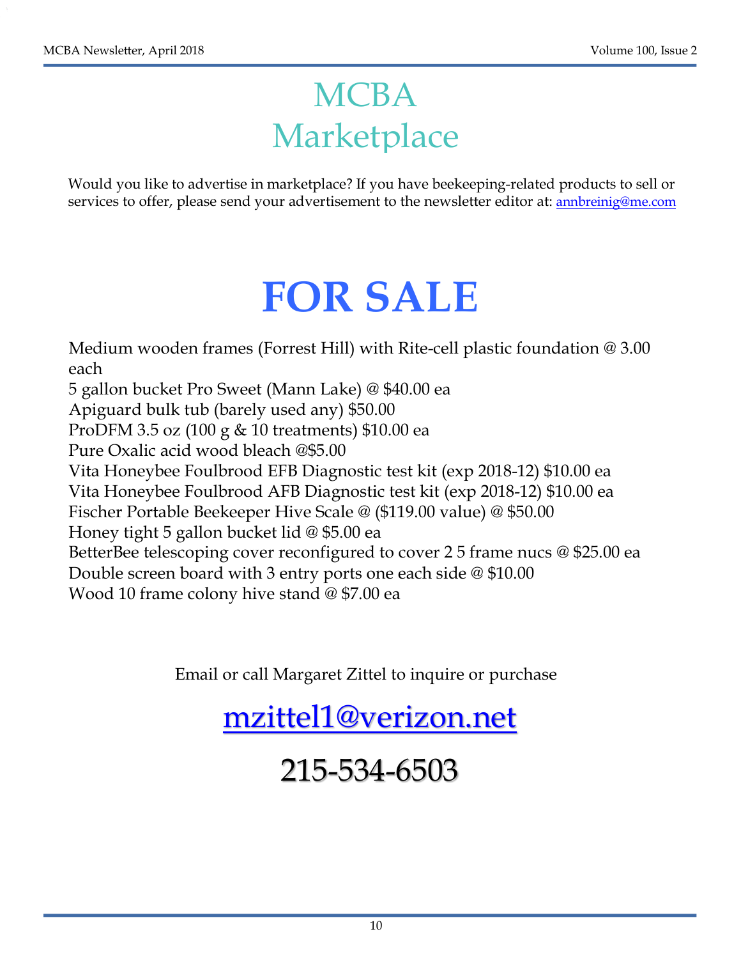## **MCBA** Marketplace

Would you like to advertise in marketplace? If you have beekeeping-related products to sell or services to offer, please send your advertisement to the newsletter editor at: annbreinig@me.com

## **FOR SALE**

Medium wooden frames (Forrest Hill) with Rite-cell plastic foundation @ 3.00 each 5 gallon bucket Pro Sweet (Mann Lake) @ \$40.00 ea Apiguard bulk tub (barely used any) \$50.00 ProDFM 3.5 oz (100 g & 10 treatments) \$10.00 ea Pure Oxalic acid wood bleach @\$5.00 Vita Honeybee Foulbrood EFB Diagnostic test kit (exp 2018-12) \$10.00 ea Vita Honeybee Foulbrood AFB Diagnostic test kit (exp 2018-12) \$10.00 ea Fischer Portable Beekeeper Hive Scale @ (\$119.00 value) @ \$50.00 Honey tight 5 gallon bucket lid @ \$5.00 ea BetterBee telescoping cover reconfigured to cover 2 5 frame nucs @ \$25.00 ea Double screen board with 3 entry ports one each side @ \$10.00 Wood 10 frame colony hive stand @ \$7.00 ea

Email or call Margaret Zittel to inquire or purchase

mzittel1@verizon.net

## 215-534-6503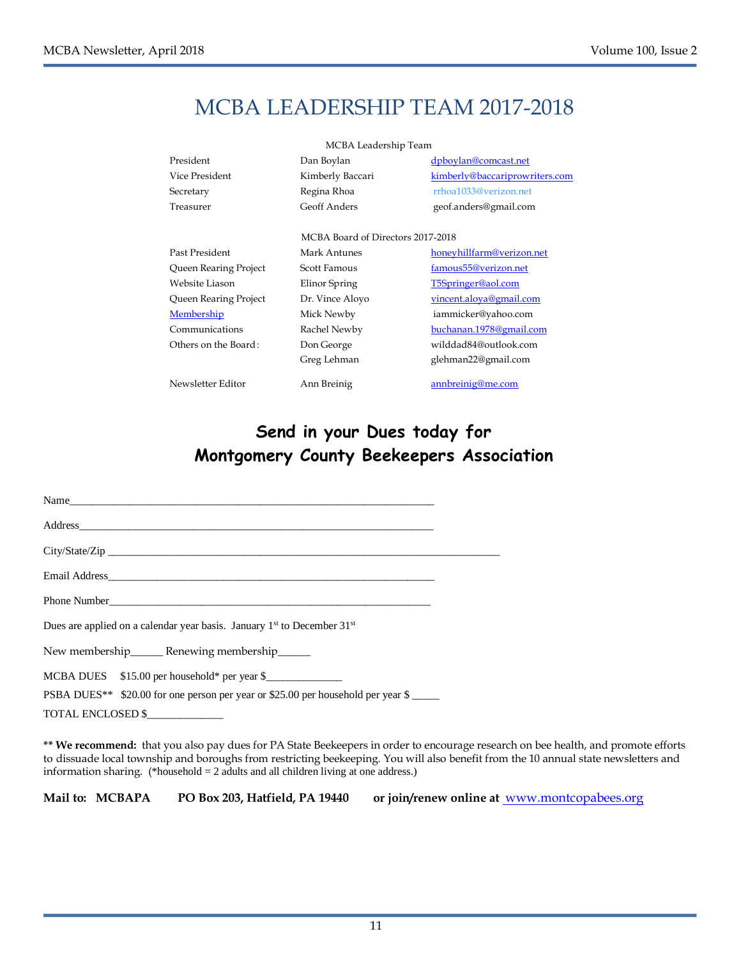## MCBA LEADERSHIP TEAM 2017-2018

| MCBA Leadership Team  |                                   |                                |  |
|-----------------------|-----------------------------------|--------------------------------|--|
| President             | Dan Boylan                        | dpboylan@comcast.net           |  |
| Vice President        | Kimberly Baccari                  | kimberly@baccariprowriters.com |  |
| Secretary             | Regina Rhoa                       | rrhoa1033@verizon.net          |  |
| Treasurer             | <b>Geoff Anders</b>               | geof.anders@gmail.com          |  |
|                       |                                   |                                |  |
|                       | MCBA Board of Directors 2017-2018 |                                |  |
| Past President        | Mark Antunes                      | honeyhillfarm@verizon.net      |  |
| Queen Rearing Project | Scott Famous                      | famous55@verizon.net           |  |
| Website Liason        | Elinor Spring                     | T5Springer@aol.com             |  |
| Queen Rearing Project | Dr. Vince Aloyo                   | vincent.aloya@gmail.com        |  |
| Membership            | Mick Newby                        | iammicker@yahoo.com            |  |
| Communications        | Rachel Newby                      | buchanan.1978@gmail.com        |  |
| Others on the Board:  | Don George                        | wilddad84@outlook.com          |  |
|                       | Greg Lehman                       | glehman22@gmail.com            |  |
| Newsletter Editor     | Ann Breinig                       | annbreinig@me.com              |  |

#### **Send in your Dues today for Montgomery County Beekeepers Association**

Name\_\_\_\_\_\_\_\_\_\_\_\_\_\_\_\_\_\_\_\_\_\_\_\_\_\_\_\_\_\_\_\_\_\_\_\_\_\_\_\_\_\_\_\_\_\_\_\_\_\_\_\_\_\_\_\_\_\_\_\_\_\_\_\_\_\_\_ Address\_\_\_\_\_\_\_\_\_\_\_\_\_\_\_\_\_\_\_\_\_\_\_\_\_\_\_\_\_\_\_\_\_\_\_\_\_\_\_\_\_\_\_\_\_\_\_\_\_\_\_\_\_\_\_\_\_\_\_\_\_\_\_\_\_ City/State/Zip Email Address Phone Number Dues are applied on a calendar year basis. January  $1<sup>st</sup>$  to December  $31<sup>st</sup>$ New membership\_\_\_\_\_\_\_ Renewing membership\_\_\_\_\_\_ MCBA DUES \$15.00 per household\* per year \$ PSBA DUES<sup>\*\*</sup> \$20.00 for one person per year or \$25.00 per household per year \$ TOTAL ENCLOSED \$\_\_\_\_\_\_\_\_\_\_\_\_\_\_

**\*\* We recommend:** that you also pay dues for PA State Beekeepers in order to encourage research on bee health, and promote efforts to dissuade local township and boroughs from restricting beekeeping. You will also benefit from the 10 annual state newsletters and information sharing. (\*household = 2 adults and all children living at one address.)

**Mail to: MCBAPA PO Box 203, Hatfield, PA 19440 or join/renew online at** www.montcopabees.org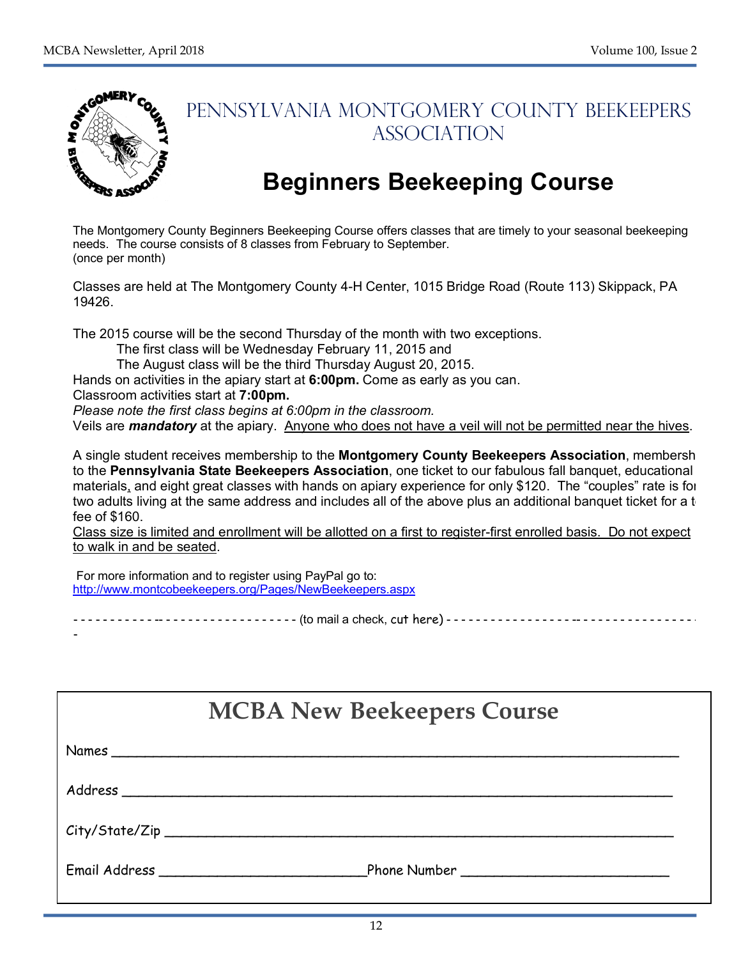

 $-$ 

### PENNSYLVANIA MONTGOMERY COUNTY BEEKEEPERS ASSOCIATION

## **Beginners Beekeeping Course**

The Montgomery County Beginners Beekeeping Course offers classes that are timely to your seasonal beekeeping needs. The course consists of 8 classes from February to September. (once per month)

Classes are held at The Montgomery County 4-H Center, 1015 Bridge Road (Route 113) Skippack, PA 19426.

The 2015 course will be the second Thursday of the month with two exceptions.

The first class will be Wednesday February 11, 2015 and

The August class will be the third Thursday August 20, 2015.

Hands on activities in the apiary start at **6:00pm.** Come as early as you can.

Classroom activities start at **7:00pm.** 

*Please note the first class begins at 6:00pm in the classroom.*

Veils are *mandatory* at the apiary. Anyone who does not have a veil will not be permitted near the hives.

A single student receives membership to the **Montgomery County Beekeepers Association**, membership to the **Pennsylvania State Beekeepers Association**, one ticket to our fabulous fall banquet, educational materials, and eight great classes with hands on apiary experience for only \$120. The "couples" rate is for two adults living at the same address and includes all of the above plus an additional banquet ticket for a t fee of \$160.

Class size is limited and enrollment will be allotted on a first to register-first enrolled basis. Do not expect to walk in and be seated.

For more information and to register using PayPal go to: http://www.montcobeekeepers.org/Pages/NewBeekeepers.aspx

- - - - - - - - - - - - - - -- - - - - - - - - - - - - - - - - - - (to mail a check, cut here) - - - - - - - - - - - - - - - - - -- - - - - - - - - - - - - - - - - - -

| <b>MCBA New Beekeepers Course</b> |       |  |  |
|-----------------------------------|-------|--|--|
|                                   | Names |  |  |
|                                   |       |  |  |
|                                   |       |  |  |
|                                   |       |  |  |

**Make Checks Payable to "M.C.B.A."**